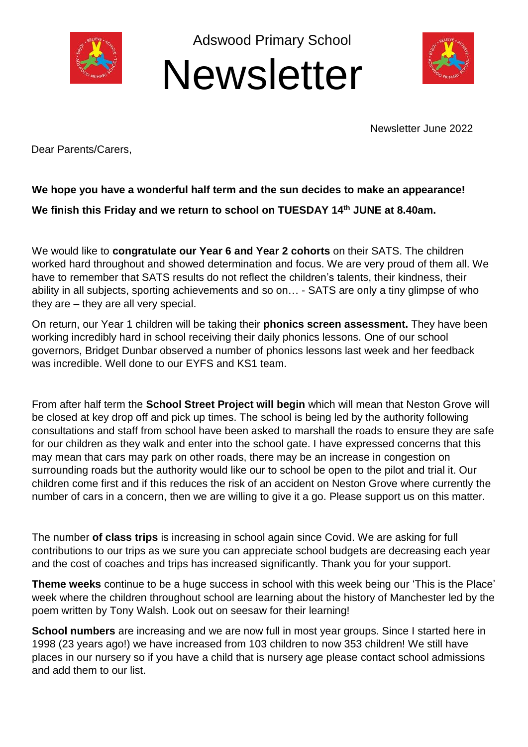

Adswood Primary School





Newsletter June 2022

Dear Parents/Carers,

## **We hope you have a wonderful half term and the sun decides to make an appearance! We finish this Friday and we return to school on TUESDAY 14th JUNE at 8.40am.**

We would like to **congratulate our Year 6 and Year 2 cohorts** on their SATS. The children worked hard throughout and showed determination and focus. We are very proud of them all. We have to remember that SATS results do not reflect the children's talents, their kindness, their ability in all subjects, sporting achievements and so on… - SATS are only a tiny glimpse of who they are – they are all very special.

On return, our Year 1 children will be taking their **phonics screen assessment.** They have been working incredibly hard in school receiving their daily phonics lessons. One of our school governors, Bridget Dunbar observed a number of phonics lessons last week and her feedback was incredible. Well done to our EYFS and KS1 team.

From after half term the **School Street Project will begin** which will mean that Neston Grove will be closed at key drop off and pick up times. The school is being led by the authority following consultations and staff from school have been asked to marshall the roads to ensure they are safe for our children as they walk and enter into the school gate. I have expressed concerns that this may mean that cars may park on other roads, there may be an increase in congestion on surrounding roads but the authority would like our to school be open to the pilot and trial it. Our children come first and if this reduces the risk of an accident on Neston Grove where currently the number of cars in a concern, then we are willing to give it a go. Please support us on this matter.

The number **of class trips** is increasing in school again since Covid. We are asking for full contributions to our trips as we sure you can appreciate school budgets are decreasing each year and the cost of coaches and trips has increased significantly. Thank you for your support.

**Theme weeks** continue to be a huge success in school with this week being our 'This is the Place' week where the children throughout school are learning about the history of Manchester led by the poem written by Tony Walsh. Look out on seesaw for their learning!

**School numbers** are increasing and we are now full in most year groups. Since I started here in 1998 (23 years ago!) we have increased from 103 children to now 353 children! We still have places in our nursery so if you have a child that is nursery age please contact school admissions and add them to our list.